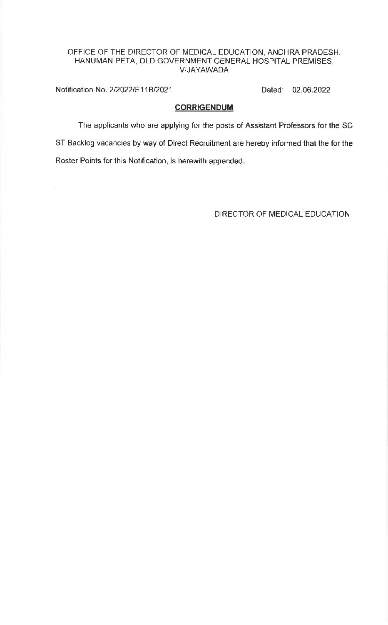## OFFICE OF THE DIRECTOR OF MEDICAL EDUCATION, ANDHRA PRADESH, HANUMAN PETA, OLD GOVERNMENT GENERAL HOSPITAL PREMISES, VIJAYAWADA

Notification No. 2/2022/E11B/2021 Dated: 02.06.2022

## **CORRIGENDUM**

The applicants who are applying for the posts of Assistant Professors for the SC ST Backlog vacancies by way of Direct Recruitment are hereby informed that the for the Roster Points for this Notrfication, is herewith appended

DIRECTOR OF MEDICAL EDUCATION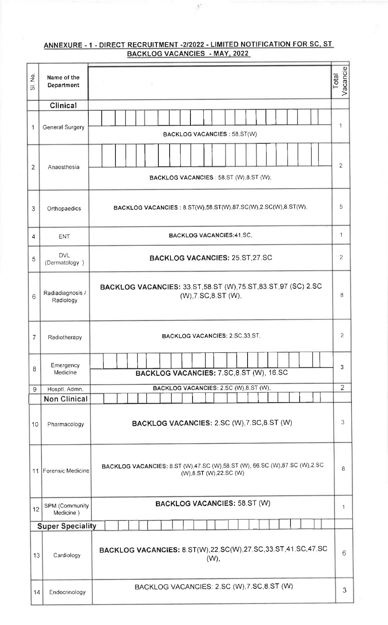## ANNEXURE - 1 - DIRECT RECRUITMENT -2/2022 - LIMITED NOTIFICATION FOR SC, ST BACKLOG VACANCIES - MAY, 2022

 $\frac{0.4}{2}$  .

| $\frac{1}{2}$<br>$\vec{\varpi}$ | Name of the<br>Department     |                                                                                                     | Vacancie<br><b>Total</b> |
|---------------------------------|-------------------------------|-----------------------------------------------------------------------------------------------------|--------------------------|
|                                 | Clinical                      |                                                                                                     |                          |
| 1                               | <b>General Surgery</b>        | <b>BACKLOG VACANCIES: 58.ST(W)</b>                                                                  | 1                        |
| $\overline{2}$                  | Anaesthesia                   | BACKLOG VACANCIES : 58.ST (W), 8.ST (W);                                                            | $\overline{2}$           |
| 3                               | Orthopaedics                  | BACKLOG VACANCIES: 8.ST(W),58 ST(W),87.SC(W),2 SC(W),8 ST(W),                                       | 5                        |
| 4                               | ENT                           | <b>BACKLOG VACANCIES:41 SC,</b>                                                                     | 1                        |
| 5                               | <b>DVL</b><br>(Dermatology)   | <b>BACKLOG VACANCIES: 25.ST, 27.SC</b>                                                              | $\overline{2}$           |
| 6                               | Radiadiagnosis /<br>Radiology | <b>BACKLOG VACANCIES: 33.ST 58.ST (W) 75.ST 83.ST 97 (SC) 2.SC</b><br>(W), 7. SC, 8. ST (W),        | 8                        |
| 7                               | Radiotherapy                  | BACKLOG VACANCIES: 2.SC, 33.ST,                                                                     | $\overline{2}$           |
| 8                               | Emergency<br>Medicine         | BACKLOG VACANCIES: 7.SC,8.ST (W), 16.SC                                                             | 3                        |
| 9                               | Hosptl, Admn,                 | BACKLOG VACANCIES: 2.SC (W),8 ST (W),                                                               | $\overline{2}$           |
|                                 | <b>Non Clinical</b>           |                                                                                                     |                          |
| 10                              | Pharmacology                  | BACKLOG VACANCIES: 2.SC (W), 7.SC, 8.ST (W)                                                         | 3                        |
|                                 | 11 Forensic Medicine          | BACKLOG VACANCIES: 8.ST (W),47.SC (W),58.ST (W), 66.SC (W),87.SC (W),2.SC<br>(W),8.ST (W),22.SC (W) | 8                        |
| 12                              | SPM (Community<br>Medicine)   | <b>BACKLOG VACANCIES: 58.ST (W)</b>                                                                 | 1                        |
|                                 | <b>Super Speciality</b>       |                                                                                                     |                          |
| 13                              | Cardiology                    | BACKLOG VACANCIES: 8.ST(W), 22.SC(W), 27.SC, 33.ST, 41.SC, 47.SC<br>(W)                             | 6                        |
| 14                              | Endocrinology                 | BACKLOG VACANCIES: 2.SC (W), 7.SC, 8.ST (W)                                                         | 3                        |